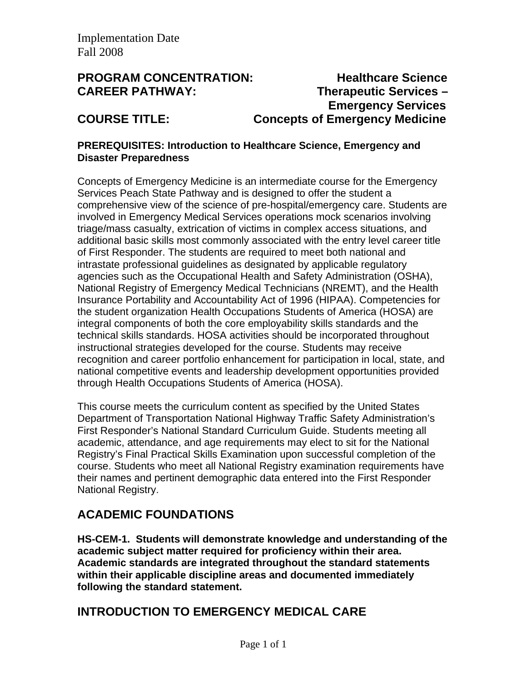## **PROGRAM CONCENTRATION: Healthcare Science CAREER PATHWAY: Therapeutic Services – Emergency Services COURSE TITLE: Concepts of Emergency Medicine**

#### **PREREQUISITES: Introduction to Healthcare Science, Emergency and Disaster Preparedness**

Concepts of Emergency Medicine is an intermediate course for the Emergency Services Peach State Pathway and is designed to offer the student a comprehensive view of the science of pre-hospital/emergency care. Students are involved in Emergency Medical Services operations mock scenarios involving triage/mass casualty, extrication of victims in complex access situations, and additional basic skills most commonly associated with the entry level career title of First Responder. The students are required to meet both national and intrastate professional guidelines as designated by applicable regulatory agencies such as the Occupational Health and Safety Administration (OSHA), National Registry of Emergency Medical Technicians (NREMT), and the Health Insurance Portability and Accountability Act of 1996 (HIPAA). Competencies for the student organization Health Occupations Students of America (HOSA) are integral components of both the core employability skills standards and the technical skills standards. HOSA activities should be incorporated throughout instructional strategies developed for the course. Students may receive recognition and career portfolio enhancement for participation in local, state, and national competitive events and leadership development opportunities provided through Health Occupations Students of America (HOSA).

This course meets the curriculum content as specified by the United States Department of Transportation National Highway Traffic Safety Administration's First Responder's National Standard Curriculum Guide. Students meeting all academic, attendance, and age requirements may elect to sit for the National Registry's Final Practical Skills Examination upon successful completion of the course. Students who meet all National Registry examination requirements have their names and pertinent demographic data entered into the First Responder National Registry.

## **ACADEMIC FOUNDATIONS**

**HS-CEM-1. Students will demonstrate knowledge and understanding of the academic subject matter required for proficiency within their area. Academic standards are integrated throughout the standard statements within their applicable discipline areas and documented immediately following the standard statement.** 

## **INTRODUCTION TO EMERGENCY MEDICAL CARE**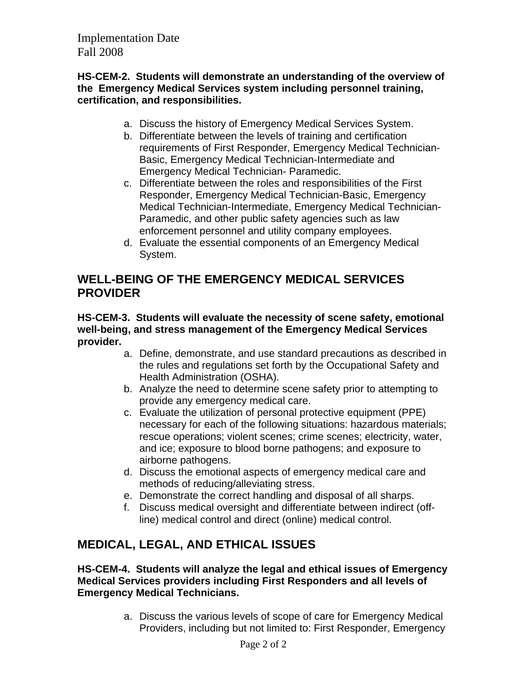#### **HS-CEM-2. Students will demonstrate an understanding of the overview of the Emergency Medical Services system including personnel training, certification, and responsibilities.**

- a. Discuss the history of Emergency Medical Services System.
- b. Differentiate between the levels of training and certification requirements of First Responder, Emergency Medical Technician-Basic, Emergency Medical Technician-Intermediate and Emergency Medical Technician- Paramedic.
- c. Differentiate between the roles and responsibilities of the First Responder, Emergency Medical Technician-Basic, Emergency Medical Technician-Intermediate, Emergency Medical Technician-Paramedic, and other public safety agencies such as law enforcement personnel and utility company employees.
- d. Evaluate the essential components of an Emergency Medical System.

## **WELL-BEING OF THE EMERGENCY MEDICAL SERVICES PROVIDER**

#### **HS-CEM-3. Students will evaluate the necessity of scene safety, emotional well-being, and stress management of the Emergency Medical Services provider.**

- a. Define, demonstrate, and use standard precautions as described in the rules and regulations set forth by the Occupational Safety and Health Administration (OSHA).
- b. Analyze the need to determine scene safety prior to attempting to provide any emergency medical care.
- c. Evaluate the utilization of personal protective equipment (PPE) necessary for each of the following situations: hazardous materials; rescue operations; violent scenes; crime scenes; electricity, water, and ice; exposure to blood borne pathogens; and exposure to airborne pathogens.
- d. Discuss the emotional aspects of emergency medical care and methods of reducing/alleviating stress.
- e. Demonstrate the correct handling and disposal of all sharps.
- f. Discuss medical oversight and differentiate between indirect (offline) medical control and direct (online) medical control.

# **MEDICAL, LEGAL, AND ETHICAL ISSUES**

#### **HS-CEM-4. Students will analyze the legal and ethical issues of Emergency Medical Services providers including First Responders and all levels of Emergency Medical Technicians.**

a. Discuss the various levels of scope of care for Emergency Medical Providers, including but not limited to: First Responder, Emergency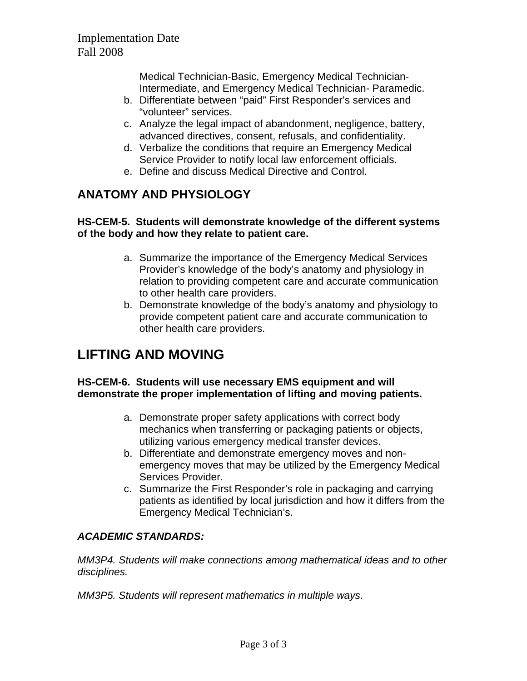Medical Technician-Basic, Emergency Medical Technician-Intermediate, and Emergency Medical Technician- Paramedic.

- b. Differentiate between "paid" First Responder's services and "volunteer" services.
- c. Analyze the legal impact of abandonment, negligence, battery, advanced directives, consent, refusals, and confidentiality.
- d. Verbalize the conditions that require an Emergency Medical Service Provider to notify local law enforcement officials.
- e. Define and discuss Medical Directive and Control.

## **ANATOMY AND PHYSIOLOGY**

#### **HS-CEM-5. Students will demonstrate knowledge of the different systems of the body and how they relate to patient care.**

- a. Summarize the importance of the Emergency Medical Services Provider's knowledge of the body's anatomy and physiology in relation to providing competent care and accurate communication to other health care providers.
- b. Demonstrate knowledge of the body's anatomy and physiology to provide competent patient care and accurate communication to other health care providers.

# **LIFTING AND MOVING**

#### **HS-CEM-6. Students will use necessary EMS equipment and will demonstrate the proper implementation of lifting and moving patients.**

- a. Demonstrate proper safety applications with correct body mechanics when transferring or packaging patients or objects, utilizing various emergency medical transfer devices.
- b. Differentiate and demonstrate emergency moves and nonemergency moves that may be utilized by the Emergency Medical Services Provider.
- c. Summarize the First Responder's role in packaging and carrying patients as identified by local jurisdiction and how it differs from the Emergency Medical Technician's.

## *ACADEMIC STANDARDS:*

*MM3P4. Students will make connections among mathematical ideas and to other disciplines.*

*MM3P5. Students will represent mathematics in multiple ways.*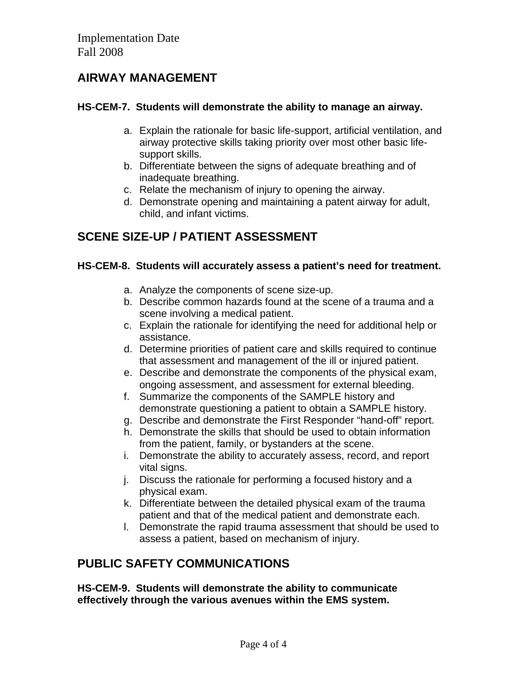## **AIRWAY MANAGEMENT**

#### **HS-CEM-7. Students will demonstrate the ability to manage an airway.**

- a. Explain the rationale for basic life-support, artificial ventilation, and airway protective skills taking priority over most other basic lifesupport skills.
- b. Differentiate between the signs of adequate breathing and of inadequate breathing.
- c. Relate the mechanism of injury to opening the airway.
- d. Demonstrate opening and maintaining a patent airway for adult, child, and infant victims.

## **SCENE SIZE-UP / PATIENT ASSESSMENT**

#### **HS-CEM-8. Students will accurately assess a patient's need for treatment.**

- a. Analyze the components of scene size-up.
- b. Describe common hazards found at the scene of a trauma and a scene involving a medical patient.
- c. Explain the rationale for identifying the need for additional help or assistance.
- d. Determine priorities of patient care and skills required to continue that assessment and management of the ill or injured patient.
- e. Describe and demonstrate the components of the physical exam, ongoing assessment, and assessment for external bleeding.
- f. Summarize the components of the SAMPLE history and demonstrate questioning a patient to obtain a SAMPLE history.
- g. Describe and demonstrate the First Responder "hand-off" report.
- h. Demonstrate the skills that should be used to obtain information from the patient, family, or bystanders at the scene.
- i. Demonstrate the ability to accurately assess, record, and report vital signs.
- j. Discuss the rationale for performing a focused history and a physical exam.
- k. Differentiate between the detailed physical exam of the trauma patient and that of the medical patient and demonstrate each.
- l. Demonstrate the rapid trauma assessment that should be used to assess a patient, based on mechanism of injury.

## **PUBLIC SAFETY COMMUNICATIONS**

**HS-CEM-9. Students will demonstrate the ability to communicate effectively through the various avenues within the EMS system.**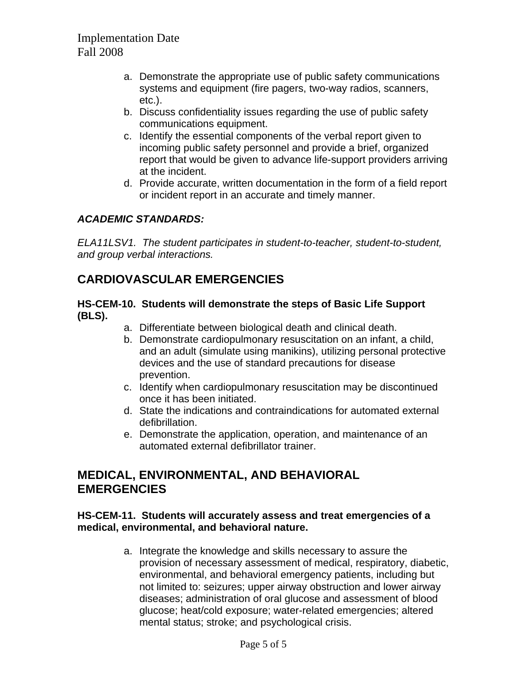- a. Demonstrate the appropriate use of public safety communications systems and equipment (fire pagers, two-way radios, scanners, etc.).
- b. Discuss confidentiality issues regarding the use of public safety communications equipment.
- c. Identify the essential components of the verbal report given to incoming public safety personnel and provide a brief, organized report that would be given to advance life-support providers arriving at the incident.
- d. Provide accurate, written documentation in the form of a field report or incident report in an accurate and timely manner.

### *ACADEMIC STANDARDS:*

*ELA11LSV1. The student participates in student-to-teacher, student-to-student, and group verbal interactions.* 

## **CARDIOVASCULAR EMERGENCIES**

#### **HS-CEM-10. Students will demonstrate the steps of Basic Life Support (BLS).**

- a. Differentiate between biological death and clinical death.
- b. Demonstrate cardiopulmonary resuscitation on an infant, a child, and an adult (simulate using manikins), utilizing personal protective devices and the use of standard precautions for disease prevention.
- c. Identify when cardiopulmonary resuscitation may be discontinued once it has been initiated.
- d. State the indications and contraindications for automated external defibrillation.
- e. Demonstrate the application, operation, and maintenance of an automated external defibrillator trainer.

## **MEDICAL, ENVIRONMENTAL, AND BEHAVIORAL EMERGENCIES**

#### **HS-CEM-11. Students will accurately assess and treat emergencies of a medical, environmental, and behavioral nature.**

a. Integrate the knowledge and skills necessary to assure the provision of necessary assessment of medical, respiratory, diabetic, environmental, and behavioral emergency patients, including but not limited to: seizures; upper airway obstruction and lower airway diseases; administration of oral glucose and assessment of blood glucose; heat/cold exposure; water-related emergencies; altered mental status; stroke; and psychological crisis.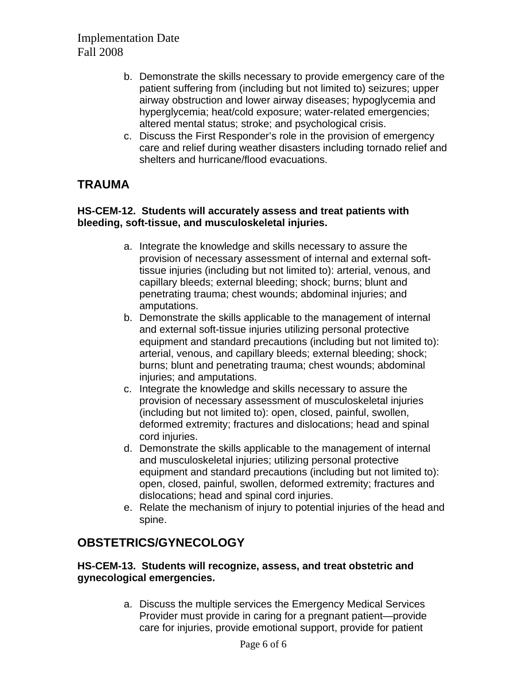- b. Demonstrate the skills necessary to provide emergency care of the patient suffering from (including but not limited to) seizures; upper airway obstruction and lower airway diseases; hypoglycemia and hyperglycemia; heat/cold exposure; water-related emergencies; altered mental status; stroke; and psychological crisis.
- c. Discuss the First Responder's role in the provision of emergency care and relief during weather disasters including tornado relief and shelters and hurricane/flood evacuations.

## **TRAUMA**

#### **HS-CEM-12. Students will accurately assess and treat patients with bleeding, soft-tissue, and musculoskeletal injuries.**

- a. Integrate the knowledge and skills necessary to assure the provision of necessary assessment of internal and external softtissue injuries (including but not limited to): arterial, venous, and capillary bleeds; external bleeding; shock; burns; blunt and penetrating trauma; chest wounds; abdominal injuries; and amputations.
- b. Demonstrate the skills applicable to the management of internal and external soft-tissue injuries utilizing personal protective equipment and standard precautions (including but not limited to): arterial, venous, and capillary bleeds; external bleeding; shock; burns; blunt and penetrating trauma; chest wounds; abdominal injuries; and amputations.
- c. Integrate the knowledge and skills necessary to assure the provision of necessary assessment of musculoskeletal injuries (including but not limited to): open, closed, painful, swollen, deformed extremity; fractures and dislocations; head and spinal cord injuries.
- d. Demonstrate the skills applicable to the management of internal and musculoskeletal injuries; utilizing personal protective equipment and standard precautions (including but not limited to): open, closed, painful, swollen, deformed extremity; fractures and dislocations; head and spinal cord injuries.
- e. Relate the mechanism of injury to potential injuries of the head and spine.

## **OBSTETRICS/GYNECOLOGY**

#### **HS-CEM-13. Students will recognize, assess, and treat obstetric and gynecological emergencies.**

a. Discuss the multiple services the Emergency Medical Services Provider must provide in caring for a pregnant patient—provide care for injuries, provide emotional support, provide for patient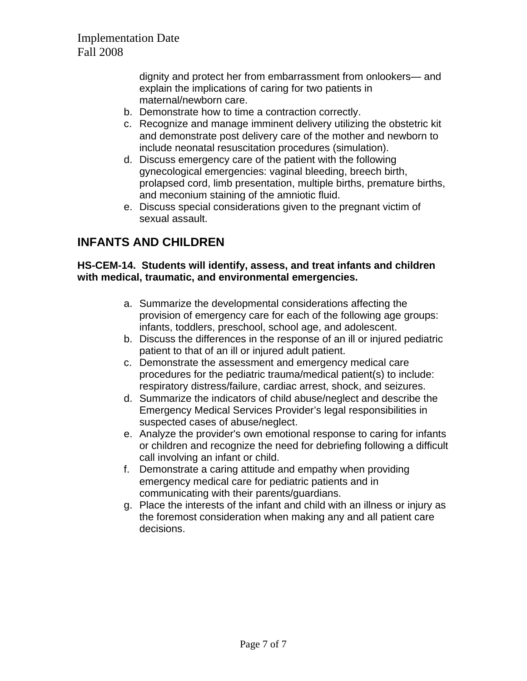dignity and protect her from embarrassment from onlookers— and explain the implications of caring for two patients in maternal/newborn care.

- b. Demonstrate how to time a contraction correctly.
- c. Recognize and manage imminent delivery utilizing the obstetric kit and demonstrate post delivery care of the mother and newborn to include neonatal resuscitation procedures (simulation).
- d. Discuss emergency care of the patient with the following gynecological emergencies: vaginal bleeding, breech birth, prolapsed cord, limb presentation, multiple births, premature births, and meconium staining of the amniotic fluid.
- e. Discuss special considerations given to the pregnant victim of sexual assault.

## **INFANTS AND CHILDREN**

#### **HS-CEM-14. Students will identify, assess, and treat infants and children with medical, traumatic, and environmental emergencies.**

- a. Summarize the developmental considerations affecting the provision of emergency care for each of the following age groups: infants, toddlers, preschool, school age, and adolescent.
- b. Discuss the differences in the response of an ill or injured pediatric patient to that of an ill or injured adult patient.
- c. Demonstrate the assessment and emergency medical care procedures for the pediatric trauma/medical patient(s) to include: respiratory distress/failure, cardiac arrest, shock, and seizures.
- d. Summarize the indicators of child abuse/neglect and describe the Emergency Medical Services Provider's legal responsibilities in suspected cases of abuse/neglect.
- e. Analyze the provider's own emotional response to caring for infants or children and recognize the need for debriefing following a difficult call involving an infant or child.
- f. Demonstrate a caring attitude and empathy when providing emergency medical care for pediatric patients and in communicating with their parents/guardians.
- g. Place the interests of the infant and child with an illness or injury as the foremost consideration when making any and all patient care decisions.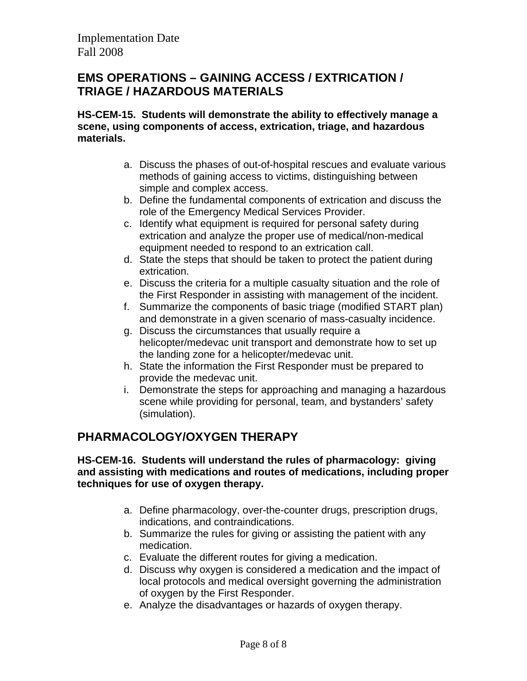## **EMS OPERATIONS – GAINING ACCESS / EXTRICATION / TRIAGE / HAZARDOUS MATERIALS**

**HS-CEM-15. Students will demonstrate the ability to effectively manage a scene, using components of access, extrication, triage, and hazardous materials.** 

- a. Discuss the phases of out-of-hospital rescues and evaluate various methods of gaining access to victims, distinguishing between simple and complex access.
- b. Define the fundamental components of extrication and discuss the role of the Emergency Medical Services Provider.
- c. Identify what equipment is required for personal safety during extrication and analyze the proper use of medical/non-medical equipment needed to respond to an extrication call.
- d. State the steps that should be taken to protect the patient during extrication.
- e. Discuss the criteria for a multiple casualty situation and the role of the First Responder in assisting with management of the incident.
- f. Summarize the components of basic triage (modified START plan) and demonstrate in a given scenario of mass-casualty incidence.
- g. Discuss the circumstances that usually require a helicopter/medevac unit transport and demonstrate how to set up the landing zone for a helicopter/medevac unit.
- h. State the information the First Responder must be prepared to provide the medevac unit.
- i. Demonstrate the steps for approaching and managing a hazardous scene while providing for personal, team, and bystanders' safety (simulation).

## **PHARMACOLOGY/OXYGEN THERAPY**

#### **HS-CEM-16. Students will understand the rules of pharmacology: giving and assisting with medications and routes of medications, including proper techniques for use of oxygen therapy.**

- a. Define pharmacology, over-the-counter drugs, prescription drugs, indications, and contraindications.
- b. Summarize the rules for giving or assisting the patient with any medication.
- c. Evaluate the different routes for giving a medication.
- d. Discuss why oxygen is considered a medication and the impact of local protocols and medical oversight governing the administration of oxygen by the First Responder.
- e. Analyze the disadvantages or hazards of oxygen therapy.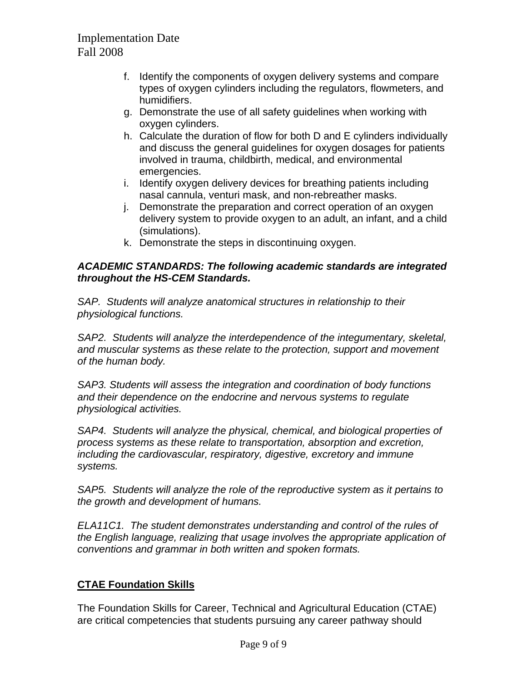- f. Identify the components of oxygen delivery systems and compare types of oxygen cylinders including the regulators, flowmeters, and humidifiers.
- g. Demonstrate the use of all safety guidelines when working with oxygen cylinders.
- h. Calculate the duration of flow for both D and E cylinders individually and discuss the general guidelines for oxygen dosages for patients involved in trauma, childbirth, medical, and environmental emergencies.
- i. Identify oxygen delivery devices for breathing patients including nasal cannula, venturi mask, and non-rebreather masks.
- j. Demonstrate the preparation and correct operation of an oxygen delivery system to provide oxygen to an adult, an infant, and a child (simulations).
- k. Demonstrate the steps in discontinuing oxygen.

#### *ACADEMIC STANDARDS: The following academic standards are integrated throughout the HS-CEM Standards.*

*SAP. Students will analyze anatomical structures in relationship to their physiological functions.* 

*SAP2. Students will analyze the interdependence of the integumentary, skeletal, and muscular systems as these relate to the protection, support and movement of the human body.*

*SAP3. Students will assess the integration and coordination of body functions and their dependence on the endocrine and nervous systems to regulate physiological activities.*

*SAP4. Students will analyze the physical, chemical, and biological properties of process systems as these relate to transportation, absorption and excretion, including the cardiovascular, respiratory, digestive, excretory and immune systems.*

*SAP5. Students will analyze the role of the reproductive system as it pertains to the growth and development of humans.*

*ELA11C1. The student demonstrates understanding and control of the rules of the English language, realizing that usage involves the appropriate application of conventions and grammar in both written and spoken formats.* 

## **CTAE Foundation Skills**

The Foundation Skills for Career, Technical and Agricultural Education (CTAE) are critical competencies that students pursuing any career pathway should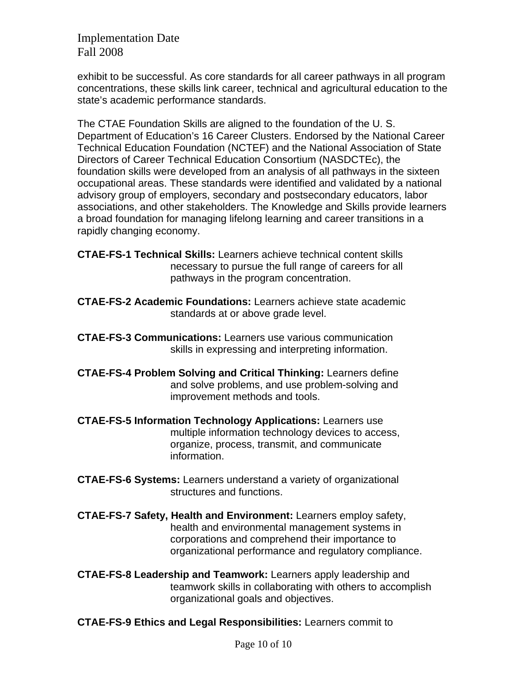exhibit to be successful. As core standards for all career pathways in all program concentrations, these skills link career, technical and agricultural education to the state's academic performance standards.

The CTAE Foundation Skills are aligned to the foundation of the U. S. Department of Education's 16 Career Clusters. Endorsed by the National Career Technical Education Foundation (NCTEF) and the National Association of State Directors of Career Technical Education Consortium (NASDCTEc), the foundation skills were developed from an analysis of all pathways in the sixteen occupational areas. These standards were identified and validated by a national advisory group of employers, secondary and postsecondary educators, labor associations, and other stakeholders. The Knowledge and Skills provide learners a broad foundation for managing lifelong learning and career transitions in a rapidly changing economy.

- **CTAE-FS-1 Technical Skills:** Learners achieve technical content skills necessary to pursue the full range of careers for all pathways in the program concentration.
- **CTAE-FS-2 Academic Foundations:** Learners achieve state academic standards at or above grade level.
- **CTAE-FS-3 Communications:** Learners use various communication skills in expressing and interpreting information.
- **CTAE-FS-4 Problem Solving and Critical Thinking:** Learners define and solve problems, and use problem-solving and improvement methods and tools.
- **CTAE-FS-5 Information Technology Applications:** Learners use multiple information technology devices to access, organize, process, transmit, and communicate information.
- **CTAE-FS-6 Systems:** Learners understand a variety of organizational structures and functions.
- **CTAE-FS-7 Safety, Health and Environment:** Learners employ safety, health and environmental management systems in corporations and comprehend their importance to organizational performance and regulatory compliance.
- **CTAE-FS-8 Leadership and Teamwork:** Learners apply leadership and teamwork skills in collaborating with others to accomplish organizational goals and objectives.
- **CTAE-FS-9 Ethics and Legal Responsibilities:** Learners commit to